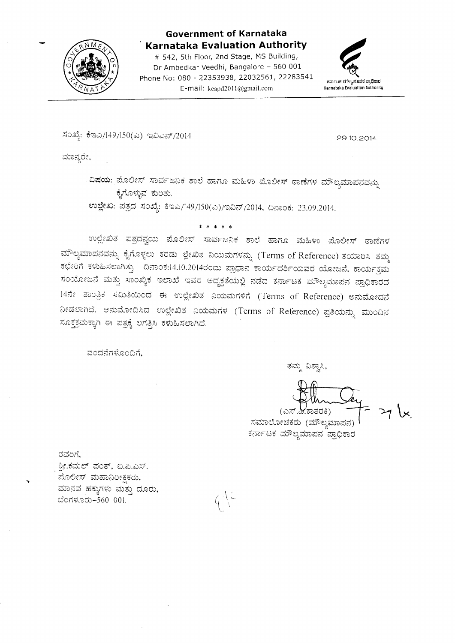

# Government of Karnataka<br>Karnataka Evaluation Authority

# 542, 5th Floor, 2nd Stage, MS Building, Dr Ambedkar Veedhi, Bangalore - 560 <sup>001</sup> Phone No: 080 - 22353938, 22032561, 22283541 E-mail : keapd20l 1@gmail.com



ಸಂಖ್ಯೆ: ಕೆಇಎ/149/150(ಎ) ಇವಿಎನ್/2014

29.10.2014

ಮಾನ್ಯರೇ,

ವಿಷಯ: ಮೊಲೀಸ್ ಸಾರ್ವಜನಿಕ ಶಾಲೆ ಹಾಗೂ ಮಹಿಳಾ ಮೊಲೀಸ್ ಠಾಣೆಗಳ ಮೌಲ್ಯಮಾಪನವನ್ನು ಕೈಗೊಳ್ಳುವ ಕುರಿತು.

ಉಲ್ಲೇಖ: ಪತ್ರದ ಸಂಖ್ಯೆ: ಕೆಇಎ/149/150(ಎ)/ಇವಿನ್/2014, ದಿನಾಂಕ: 23.09.2014.

t<\*>k\*x

ಉಲ್ಲೇಖಿತ ಪತ್ರದನ್ವಯ ಮೊಲೀಸ್ ಸಾರ್ವಜನಿಕ ಶಾಲೆ ಹಾಗೂ ಮಹಿಳಾ ಮೊಲೀಸ್ ಠಾಣೆಗಳ ಮೌಲ್ಯಮಾಪನವನ್ನು ಕೈಗೊಳ್ಳಲು ಕರಡು ಲ್ಲೇಖಿತ ನಿಯಮಗಳನ್ನು (Terms of Reference) ತಯಾರಿಸಿ ತಮ್ಮ ಕಛೇರಿಗೆ ಕಳುಹಿಸಲಾಗಿತ್ತು. ದಿನಾಂಕ:14.10.2014ರಂದು ಪ್ರಾಧಾನ ಕಾರ್ಯದರ್ಶಿಯವರ ಯೋಜನೆ, ಕಾರ್ಯಕ್ರಮ ಸಂಯೋಜನೆ ಮತ್ತು ಸಾಂಖ್ಯಿಕ ಇಲಾಖೆ ಇವರ ಅಧ್ಯಕ್ಷತೆಯಲ್ಲಿ ನಡೆದ ಕರ್ನಾಟಕ ಮೌಲ್ಯಮಾಪನ ಪ್ರಾಧಿಕಾರದ<br>''ನೊಡ್ಡಾವಿನ ದಂಬಿಟಿಯಾದ ಮುಖ್ಯ ವಿವಿಧವಾಗಿ ಬಂದಿದ್ದು ಮುಖ್ಯ ಮಾಡಿದ್ದಾರೆ. 14ನೇ ತಾಂತ್ರಿಕ ಸಮಿತಿಯಿಂದ ಈ ಉಲ್ಲೇಖಿತ ನಿಯಮಗಳಿಗೆ (Terms of Reference) ಅನುಮೋದನೆ ನೀಡಲಾಗಿದೆ. ಆನುಮೋದಿಸಿದ ಉಲ್ಲೇಖಿತ ನಿಯಮಗಳ (Terms of Reference) ಪ್ರತಿಯನ್ನು ಮುಂದಿನ ಸೂಕ್ಷಕ್ರಮಕ್ಕಾಗಿ ಈ ಪತ್ರಕ್ಕೆ ಲಗತ್ತಿಸಿ ಕಳುಹಿಸಲಾಗಿದೆ.

> $\zeta$ ',

ವಂದನೆಗಳೊಂದಿಗ

ತಮ್ಮ ವಿಶ್ವಾಸಿ,

<sup>(</sup>ಕಾತರಕಿ) (ಎಸ್

 $27 \times$ 

ಸಮಾಲೋಚಕರು (ಮೌಲ್ಯಮಾಪನ) ಕರ್ನಾಟಕ ಮೌಲ್ಯಮಾಪನ ಪ್ರಾಧಿಕಾರ

ರವರಿಗೆ,

.<br>ಶೀ.ಕಮಲ್ ಪಂತ್, ಐ.ಪಿ.ಎಸ್. ಮೊಲೀಸ್ ಮಹಾನಿರೀಕ್ಷಕರು, ಮಾನವ ಹಕ್ಕುಗಳು ಮತ್ತು ದೂರು, dcdgocb-560 001.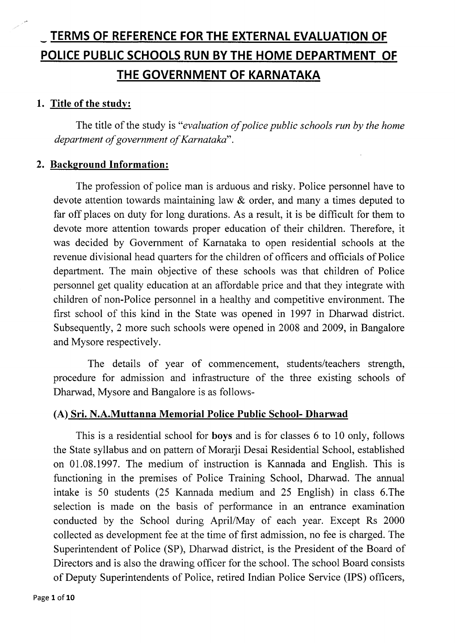# - TERMS OF REFERENCE FOR THE EXTERNAL EVALUATION OF POLICE PUBLIC SCHOOLS RUN BY THE HOME DEPARTMENT OF THE GOVERNMENT OF KARNATAKA

## 1. Title of the studv:

The title of the study is "evaluation of police public schools run by the home department of government of Karnataka".

#### 2. Background Information:

The profession of police man is arduous and risky. Police personnel have to devote attention towards maintaining law & order, and many a times deputed to far off places on duty for long durations. As a result, it is be difficult for them to devote more attention towards proper education of their children. Therefore, it was decided by Government of Karnataka to open residential schools at the revenue divisional head quarters for the children of officers and officials of Police department. The main objective of these schools was that children of Police personnel get quality education at an affordable price and that they integrate with children of non-Police personnel in a healthy and competitive environment. The first school of this kind in the State was opened in 1997 in Dharwad district. Subsequently,2 more such schools were opened in 2008 and 2009, in Bangalore and Mysore respectively.

The details of year of commencement, students/teachers strength, procedure for admission and infrastructure of the three existing schools of Dharwad, Mysore and Bangalore is as follows-

## (A) Sri. N.A.Muttanna Memorial Police Public School- Dharwad

This is a residential school for boys and is for classes 6 to 10 only, follows the State syllabus and on pattern of Morarji Desai Residential School, established on 01.08.1997. The medium of instruction is Kannada and English. This is functioning in the premises of Police Training School, Dharwad. The annual intake is 50 students (25 Kannada medium and 25 English) in class 6.The selection is made on the basis of performance in an entrance examination conducted by the School during April/May of each year. Except Rs 2000 collected as development fee at the time of first admission, no fee is charged. The Superintendent of Police (SP), Dharwad district, is the President of the Board of Directors and is also the drawing officer for the school. The school Board consists of Deputy Superintendents of Police, retired Indian Police Service (IPS) officers,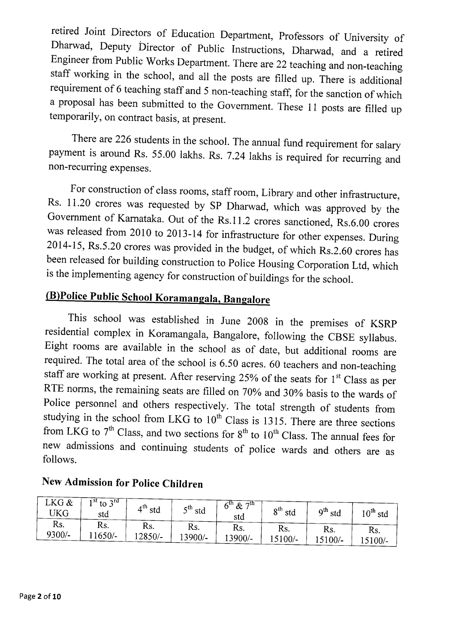retired Joint Directors of Education Department, Professors of University of Dharwad, Deputy Director of Public Instructions, Dharwad, and a retired Engineer from Public Works Department. There are 22 teaching and non-teac staff working in the school, and all the posts are filled up. There is additional requirement of 6 teaching staff and 5 non-teaching staff, for the sanction of which a proposal has been submitted to the Govemment. These 11 posts are filled up temporarily, on contract basis, at present.

There are 226 students in the school. The annual fund requirement for salary payment is around Rs. 55.00 lakhs. Rs. 7.24 lakhs is required for recurring and non-recurring expenses.

For construction of class rooms, staff room, Library and other infrastructure, Rs. 11.20 crores was requested by SP Dharwad, which was approved by the Government of Karnataka. Out of the Rs.11.2 crores sanctioned, Rs.6.00 crores was released from 2010 to 2013-14 for infrastructure for other expenses. During 2014-15, Rs.5.20 crores was provided in the budget, of which Rs.2.60 crores has been released for building construction to Police Housing Corporation Ltd, which is the implementing agency for construction of buildings for the school.

# (B)Police Public School Koramangala, Bangalore

This school was established in June 2008 in the premises of KSRp residential complex in Koramangala, Bangalore, following the CBSE syllabus. Eight rooms are available in the school as of date, but additional rooms are required. The total area of the school is 6.50 acres. 60 teachers and non-teaching staff are working at present. After reserving 25% of the seats for  $1<sup>st</sup>$  Class as per RTE norms, the remaining seats are filled on 70% and 30% basis to the wards of Police personnel and others respectively. The total strength of students from studying in the school from LKG to  $10^{th}$  Class is 1315. There are three sections from LKG to  $7<sup>th</sup>$  Class, and two sections for  $8<sup>th</sup>$  to  $10<sup>th</sup>$  Class. The annual fees for new admissions and continuing students of police wards and others are as follows.

| LKG &<br>UKG | $1st$ to $3rd$<br>std | $\varDelta$ <sup>th</sup><br>std | $5th$ std | $6^{\rm th}$<br>$\&$<br>πtη<br>std | $8^{\rm th}$<br>std | $9th$ std | $10^{\sf th}$ std |
|--------------|-----------------------|----------------------------------|-----------|------------------------------------|---------------------|-----------|-------------------|
| Rs.          | Rs.                   | Rs.                              | Rs.       | Rs.                                | Rs.                 | Rs.       | Rs.               |
| 9300/-       | $11650/-$             | $12850/-$                        | 13900/-   | 13900/-                            | $15100/-$           | $15100/-$ | $15100/-$         |

# New Admission for police Children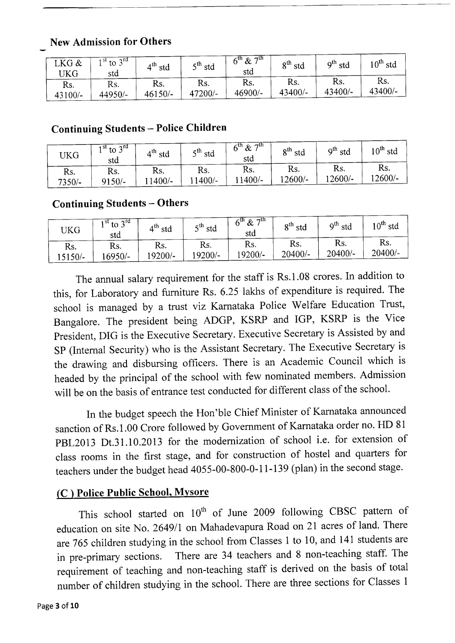# New Admission for Others

| LKG &<br>UKG | $\gamma$ rd<br>$\frac{1}{10}$ st to $\frac{1}{2}$<br>std | $4^{\text{th}}$<br>std | $5th$ std | & 7 <sup>th</sup><br>$6^{\text{th}}$<br>std | o <sup>th</sup><br>std | $\mathsf{o}^\mathsf{th}$<br>std | $10^{\rm th}$ std |
|--------------|----------------------------------------------------------|------------------------|-----------|---------------------------------------------|------------------------|---------------------------------|-------------------|
| Rs.          | Rs.                                                      | Rs.                    | Rs.       | Rs.                                         | Rs.                    | Rs.                             | Rs.               |
| 43100/-      | 44950/-                                                  | 46150/-                | 47200/-   | 46900/-                                     | 43400/-                | 43400/-                         | 43400/-           |

# Continuing Students - Police Children

| UKG      | $1^{st}$ to $3^{rd}$<br>std | $\mathbf{1}^{\text{th}}$<br>std | $5^{th}$ std | $6^{\text{th}}$ & $7^{\text{th}}$<br>std | $8^{\sf th}$<br>std | o <sup>th</sup><br>std | $10^{\text{th}}$<br>std |
|----------|-----------------------------|---------------------------------|--------------|------------------------------------------|---------------------|------------------------|-------------------------|
| Rs.      | Rs.                         | Rs.                             | Rs.          | Rs.                                      | Rs.                 | Rs.                    | Rs.                     |
| $7350/-$ | $9150/-$                    | $1400/-$                        | $1400/-$     | $1400/-$                                 | 12600/-             | $12600/-$              | 12600/-                 |

# Continuing Students - Others

| UKG       | $1st$ to $3rd$<br>std | $4^{\text{th}}$<br>std | $5th$ std | 6 <sup>th</sup><br>−u<br>$\&$<br>std | $8^{\rm th}$<br>std | q <sup>th</sup><br>std | $10^{\text{th}}$<br>std |
|-----------|-----------------------|------------------------|-----------|--------------------------------------|---------------------|------------------------|-------------------------|
| Rs.       | Rs.                   | Rs.                    | Rs.       | Rs.                                  | Rs.                 | Rs.                    | Rs.                     |
| $15150/-$ | $6950/-$              | $19200/-$              | $19200/-$ | $19200/-$                            | $20400/-$           | $20400/-$              | $20400/-$               |

The annual salary requirement for the staff is Rs.1.08 crores. In addition to this, for Laboratory and furniture Rs. 6.25 lakhs of expenditure is required. The school is managed by a trust viz Karnataka Police Welfare Education Trust, Bangalore. The president being ADGP, KSRP and IGP, KSRP is the Vice president, DIG is the Executive Secretary. Executive Secretary is Assisted by and SP (Internal Security) who is the Assistant Secretary. The Executive Secretary is the drawing and disbursing officers. There is an Academic Council which is headed by the principal of the school with few nominated members. Admission will be on the basis of entrance test conducted for different class of the school.

In the budget speech the Hon'ble Chief Minister of Karnataka announced sanction of Rs.1.00 Crore followed by Government of Karnataka order no. HD <sup>81</sup> pBL2013 Dt.31 .10.2013 for the modemizarton of school i.e. for extension of class rooms in the first stage, and for construction of hostel and quarters for teachers under the budget head 4055-00-800-0-1 l-139 (plan) in the second stage.

# (C ) Police Public School, Mvsore

This school started on  $10^{th}$  of June 2009 following CBSC pattern of education on site No. 2649/1 on Mahadevapura Road on 21 acres of land. There are 765 children studying in the school from Classes 1 to 10, and 141 students are in pre-primary sections. There are 34 teachers and 8 non-teaching staff. The requirement of teaching and non-teaching staff is derived on the basis of total number of children studying in the school. There are three sections for Classes <sup>1</sup>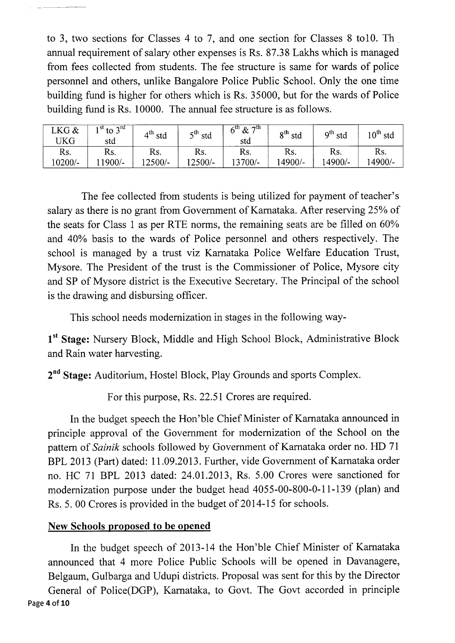to 3, two sections for Classes 4 to 7, and one section for Classes 8 to10. Th annual requirement of salary other expenses is Rs. 87.38 Lakhs which is managed from fees collected from students. The fee structure is same for wards of police personnel and others, unlike Bangalore Police Public School. Only the one time building fund is higher for others which is Rs. 35000, but for the wards of Police building fund is Rs. 10000. The annual fee structure is as follows.

| $LKG$ & | $1st$ to $3rd$ | $4^{\text{th}}$ | $5th$ std | $6^{th}$ & $7^{th}$ | $8^{\rm th}$ | $\mathbf{o}^{\text{th}}$ | $0^{\text{th}}$ |
|---------|----------------|-----------------|-----------|---------------------|--------------|--------------------------|-----------------|
| 'JKG    | std            | std             |           | std                 | std          | std                      | std             |
| Rs.     | Rs.            | Rs.             | Rs.       | Rs.                 | Rs.          | Rs.                      | Rs.             |
| 10200/- | $1900/-$       | 12500/-         | $12500/-$ | 13700/-             | 14900/-      | 14900/-                  | $14900/-$       |

The fee collected from students is being utilized for payment of teacher's salary as there is no grant from Government of Karnataka. After reserving 25% of the seats for Class 1 as per RTE norrns, the remaining seats are be filled on 60Yo and 40% basis to the wards of Police personnel and others respectively. The school is managed by a trust viz Karnataka Police Welfare Education Trust, Mysore. The President of the trust is the Commissioner of Police, Mysore city and SP of Mysore district is the Executive Secretary. The Principal of the school is the drawing and disbursing officer.

This school needs modernization in stages in the following way-

1<sup>st</sup> Stage: Nursery Block, Middle and High School Block, Administrative Block and Rain water harvesting.

2<sup>nd</sup> Stage: Auditorium, Hostel Block, Play Grounds and sports Complex.

For this purpose, Rs. 22.51 Crores are required.

In the budget speech the Hon'ble Chief Minister of Kamataka announced in principle approval of the Government for modernization of the School on the pattern of Sainik schools followed by Government of Karnataka order no. HD <sup>71</sup> BPL 2013 (Part) dated: 11.09.2013. Further, vide Government of Karnataka order no. HC 7l BPL 2013 dated: 24.01.2013, Rs. 5.00 Crores were sanctioned for modernization purpose under the budget head 4055-00-800-0-11-139 (plan) and Rs. 5. 00 Crores is provided in the budget of 2014-15 for schools.

## New Schools proposed to be opened

In the budget speech of 2013-14 the Hon'ble Chief Minister of Karnataka announced that 4 more Police Public Schools will be opened in Davanagere, Belgaum, Gulbarga and Udupi districts. Proposal was sent for this by the Director

General of Police(DGP), Karnataka, to Govt. The Govt accorded in principle Page 4 of 10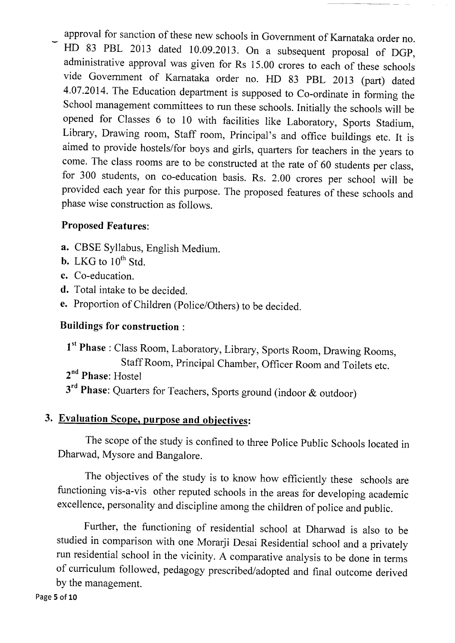approval for sanction of these new schools in Government of Kamataka order no.

HD 83 PBL 2013 dated 10.09.2013. On a subsequent proposal of DGP, administrative approval was given for Rs 15.00 crores to each of these schools vide Government of Karnataka order no. HD 83 pBL 2013 (part) dated 4.07.2014. The Education department is supposed to Co-ordinate in forming the School management committees to run these schools. Initially the schools will be opened for Classes 6 to 10 with facilities like Laboratory, Sports Stadium, Library, Drawing room, Staff room, Principal's and office buildings etc. It is aimed to provide hostels/for boys and girls, quarters for teachers in the years to come. The class rooms are to be constructed at the rate of 60 students per class, for 300 students, on co-education basis. Rs. 2.00 crores per school will be provided each year for this purpose. The proposed features of these schools and phase wise construction as follows.

# Proposed Features:

- a. CBSE Syllabus, English Medium.
- b. LKG to  $10^{th}$  Std.
- c. Co-education.
- d. Total intake to be decided.
- e. Proporrion of children (police/others) to be decided.

# Buildings for construction :

1<sup>st</sup> Phase : Class Room, Laboratory, Library, Sports Room, Drawing Rooms, Staff Room, Principal chamber, officer Room and Toilets etc. 2<sup>nd</sup> Phase: Hostel 3<sup>rd</sup> Phase: Quarters for Teachers, Sports ground (indoor & outdoor)

# 3. Evaluation Scope. purpose and obiectives:

The scope of the study is confined to three Police Public Schools located in Dharwad, Mysore and Bangalore.

The objectives of the study is to know how efficiently these schools are functioning vis-a-vis other reputed schools in the areas for developing academic excellence, personality and discipline among the children of police and public.

Further, the functioning of residential school at Dharwad is also to be studied in comparison with one Morarji Desai Residential school and a privately run residential school in the vicinity. A comparative analysis to be done in terms of curriculum followed, pedagogy prescribed/adopted and final outcome derived by the management.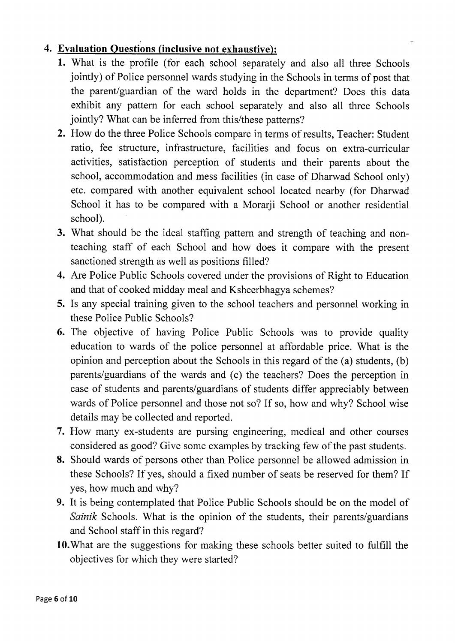# Evaluation Ouestions (inclusive not exhaustive):

- 1. What is the profile (for each school separately and also all three Schools jointly) of Police personnel wards studying in the Schools in terms of post that the parent/guardian of the ward holds in the department? Does this data exhibit any pattern for each school separately and also all three Schools jointly? What can be inferred from this/these patterns?
- 2. How do the three Police Schools compare in terms of results, Teacher: Student ratio, fee structure, infrastructure, facilities and focus on extra-curricular activities, satisfaction perception of students and their parents about the school, accommodation and mess facilities (in case of Dharwad School only) etc. compared with another equivalent school located nearby (for Dharwad School it has to be compared with a Morarji School or another residential school).
- 3. What should be the ideal staffing pattern and strength of teaching and nonteaching staff of each School and how does it compare with the present sanctioned strength as well as positions filled?
- 4. Are Police Public Schools covered under the provisions of Right to Education and that of cooked midday meal and Ksheerbhagya schemes?
- 5. Is any special training given to the school teachers and personnel working in these Police Public Schools?
- 6. The objective of having Police Public Schools was to provide quality education to wards of the police personnel at affordable price. What is the opinion and perception about the Schools in this regard of the (a) students, (b) parents/guardians of the wards and (c) the teachers? Does the perception in case of students and parents/guardians of students differ appreciably between wards of Police personnel and those not so? If so, how and why? School wise details may be collected and reported.
- 7. How many ex-students are pursing engineering, medical and other courses considered as good? Give some examples by tracking few of the past students.
- 8. Should wards of persons other than Police personnel be allowed admission in these Schools? If yes, should a fixed number of seats be reserved for them? If yes, how much and why?
- 9. It is being contemplated that Police Public Schools should be on the model of Sainik Schools. What is the opinion of the students, their parents/guardians and School staff in this regard?
- l0.What are the suggestions for making these schools better suited to fulfiIl the objectives for which they were started?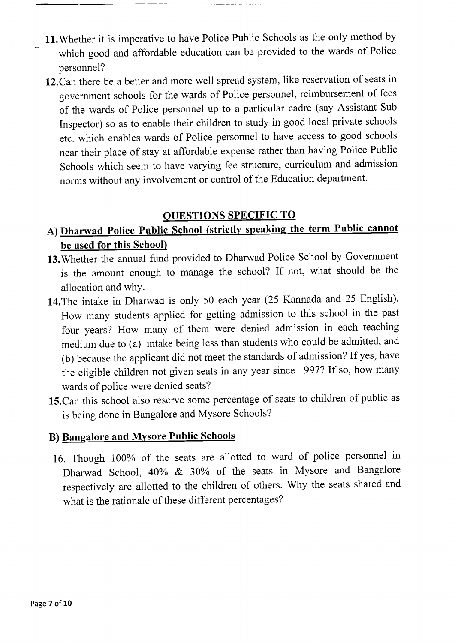- 11. Whether it is imperative to have Police Public Schools as the only method by which good and affordable education can be provided to the wards of Police personnel?
- 12.Can there be a better and more well spread system, like reservation of seats in government schools for the wards of Police personnel, reimbursement of fees of the wards of Police personnel up to a particular cadre (say Assistant Sub Inspector) so as to enable their children to study in good local private schools etc. which enables wards of Police personnel to have access to good schools near their place of stay at affordable expense rather than having Police Public Schools which seem to have varying fee structure, curriculum and admission norrns without any involvement or control of the Education department.

# QUESTIONS SPECIFIC TO

# A) Dharwad Police Public School (strictly speaking the term Public cannot be used for this School)

- 13. Whether the annual fund provided to Dharwad Police School by Government is the amount enough to manage the school? If not, what should be the allocation and whY.
- 14.The intake in Dharwad is only 50 each year (25 Kannada and 25 English). How many students applied for getting admission to this school in the past four years? How many of them were denied admission in each teaching medium due to (a) intake being less than students who could be admitted, and (b) because the applicant did not meet the standards of admission? If yes, have the eligible children not given seats in any year since 1997? If so, how many wards of police were denied seats?
- 15.Can this school also reserve some percentage of seats to children of public as is being done in Bangalore and Mysore Schools?

## B) Bangalore and Mvsore Public Schools

16. Though I00% of the seats are allotted to ward of police personnel in Dharwad School, 40% & 30% of the seats in Mysore and Bangalore respectively are allotted to the children of others. Why the seats shared and what is the rationale of these different percentages?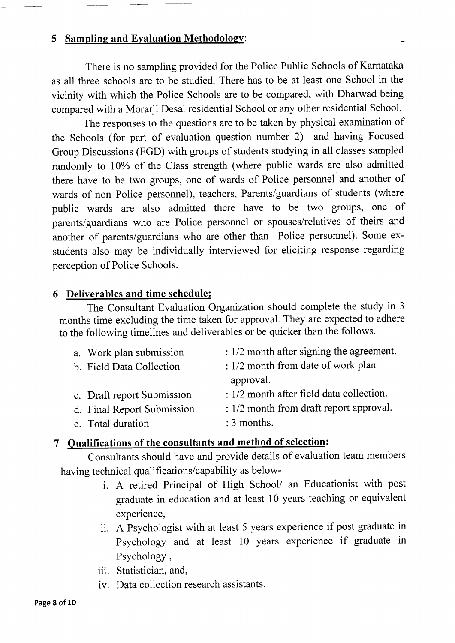## 5 Sampling and Eyaluation Methodology:

There is no sampling provided for the Police Public Schools of Karnataka as all three schools are to be studied. There has to be at least one School in the vicinity with which the Police Schools are to be compared, with Dharwad being compared with a Morarji Desai residential School or any other residential School.

The responses to the questions are to be taken by physical examination of the Schools (for part of evaluation question number 2) and having Focused Group Discussions (FGD) with groups of students studying in all classes sampled randomly to 10% of the Class strength (where public wards are also admitted there have to be two groups, one of wards of Police personnel and another of wards of non Police personnel), teachers, Parents/guardians of students (where public wards are also admitted there have to be two groups, one of parents/guardians who are Police personnel or spouses/relatives of theirs and another of parents/guardians who are other than Police personnel). Some exstudents also may be individually interviewed for eliciting response regarding perception of Police Schools.

#### 6 Deliverables and time schedule:

The Consultant Evaluation Organization should complete the study in <sup>3</sup> months time excluding the time taken for approval. They are expected to adhere to the following timelines and deliverables or be quicker than the follows.

| a. Work plan submission    | $: 1/2$ month after signing the agreement. |
|----------------------------|--------------------------------------------|
| b. Field Data Collection   | : 1/2 month from date of work plan         |
|                            | approval.                                  |
| c. Draft report Submission | $: 1/2$ month after field data collection. |
| d. Final Report Submission | : 1/2 month from draft report approval.    |
| e. Total duration          | : 3 months.                                |
|                            |                                            |

#### 7 Qualifications of the consultants and method of selection:

Consultants should have and provide details of evaluation team members having technical qualifications/capability as below-

- i. A retired Principal of High School/ an Educationist with post graduate in education and at least 10 years teaching or equivalent experience,
- ii. A Psychologist with at least 5 years experience if post graduate in Psychology and at least 10 years experience if graduate in Psychology,
- iii. Statistician, and,
- iv. Data collection research assistants.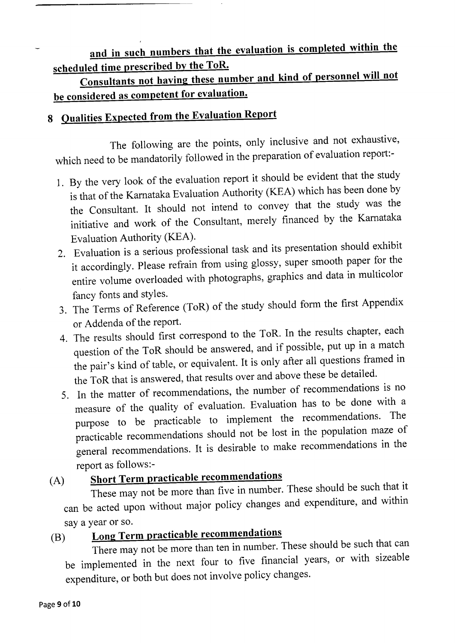# and in such numbers that the evaluation is completed within the scheduled time prescribed by the ToR.

Consultants not having these number and kind of personnel will not be considered as competent for evaluation.

# 8 Oualities Expected from the Evaluation Report

The following are the points, only inclusive and not exhaustive, which need to be mandatorily followed in the preparation of evaluation report:-

- l. By the very look of the evaluation report it should be evident that the study is that of the Karnataka Evaluation Authority (KEA) which has been done by the Consultant. It should not intend to convey that the study was the initiative and work of the Consultant, merely financed by the Karnataka Evaluation Authority (KEA).
- 2. Evaluation is a serious professional task and its presentation should exhibit it accordingly. Please refrain from using glossy, super smooth paper for the entire volume overloaded with photographs, graphics and data in multicolor fancy fonts and styles.
- 3. The Terms of Reference (ToR) of the study should form the first Appendix or Addenda of the report.
- 4. The results should first correspond to the ToR. In the results chapter, each question of the ToR should be answered, and if possible, put up in a match the pair's kind of table, or equivalent. It is only after all questions framed in the ToR that is answered, that results over and above these be detailed.
- 5. In the matter of recommendations, the number of recommendations is no measure of the quality of evaluation. Evaluation has to be done with <sup>a</sup> purpose to be practicable to implement the recommendations. The practicable recommendations should not be lost in the population maze of general recommendations. It is desirable to make recommendations in the report as follows:-

# (A) Short Term practicable recommendations

These may not be more than five in number. These should be such that it can be acted upon without major policy changes and expenditure, and within

# say a year or so.<br> **Long Term practicable recommendations** (B)

There may not be more than ten in number. These should be such that can be implemented in the next four to five financial years, or with sizeable expenditure, or both but does not involve policy changes.